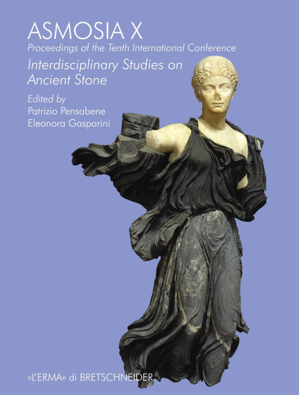# **ASMOSIAX** Proceedings of the Tenth International Conference

Interdisciplinary Studies on **Ancient Stone** 

Edited by Patrizio Pensabene Eleonora Gasparini

«L'ERMA» di BRETSCHNEIDER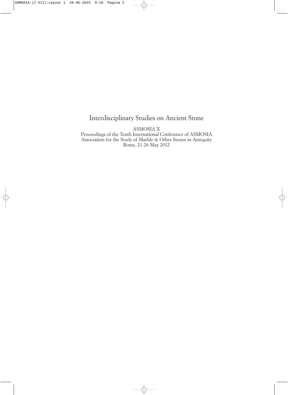## Interdisciplinary Studies on Ancient Stone

ASMOSIA X

Proceedings of the Tenth International Conference of ASMOSIA Association for the Study of Marble & Other Stones in Antiquity Rome, 21-26 May 2012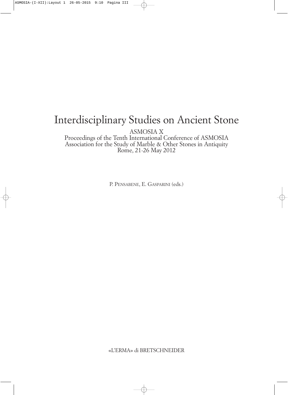# Interdisciplinary Studies on Ancient Stone

ASMOSIA X

Proceedings of the Tenth International Conference of ASMOSIA Association for the Study of Marble & Other Stones in Antiquity Rome, 21-26 May 2012

P. PENSABENE, E. GASPARINI (eds.)

«L'ERMA» di BRETSCHNEIDER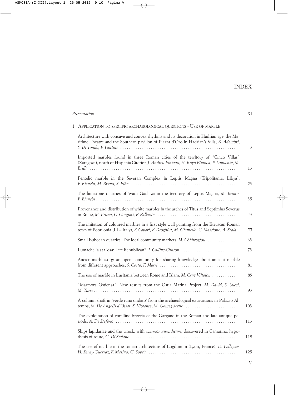|                                                                                                                                                                                         | ΧI             |
|-----------------------------------------------------------------------------------------------------------------------------------------------------------------------------------------|----------------|
| 1. APPLICATION TO SPECIFIC ARCHAEOLOGICAL QUESTIONS - USE OF MARBLE                                                                                                                     |                |
| Architecture with concave and convex rhythms and its decoration in Hadrian age: the Ma-<br>ritime Theatre and the Southern pavilion of Piazza d'Oro in Hadrian's Villa, B. Adembri,     | $\mathfrak{Z}$ |
| Imported marbles found in three Roman cities of the territory of "Cinco Villas"<br>(Zaragoza), north of Hispania Citerior, J. Andreu Pintado, H. Royo Plumed, P. Lapuente, M.           | 13             |
| Pentelic marble in the Severan Complex in Leptis Magna (Tripolitania, Libya),                                                                                                           | 23             |
| The limestone quarries of Wadi Gadatza in the territory of Leptis Magna, M. Bruno,                                                                                                      | 35             |
| Provenance and distribution of white marbles in the arches of Titus and Septimius Severus                                                                                               | 43             |
| The imitation of coloured marbles in a first style wall painting from the Etruscan-Roman<br>town of Populonia (LI - Italy), F. Cavari, F. Droghini, M. Giamello, C. Mascione, A. Scala. | 55             |
| Small Euboean quarries. The local community markets, M. Chidiroglou                                                                                                                     | 63             |
| Lumachella at Cosa: late Republican?, J. Collins-Clinton                                                                                                                                | 73             |
| Ancientmarbles.org: an open community for sharing knowledge about ancient marble                                                                                                        | 81             |
| The use of marble in Lusitania between Rome and Islam, M. Cruz Villalón                                                                                                                 | 85             |
| "Marmora Ostiensa". New results from the Ostia Marina Project, M. David, S. Succi,                                                                                                      | 93             |
| A column shaft in 'verde rana ondato' from the archaeological excavations in Palazzo Al-<br>temps, M. De Angelis d'Ossat, S. Violante, M. Gomez Serito                                  | 103            |
| The exploitation of coralline breccia of the Gargano in the Roman and late antique pe-                                                                                                  | 113            |
| Ships lapidariae and the wreck, with marmor numidicum, discovered in Camarina: hypo-                                                                                                    | 119            |
| The use of marble in the roman architecture of Lugdunum (Lyon, France), D. Fellague,                                                                                                    | 125            |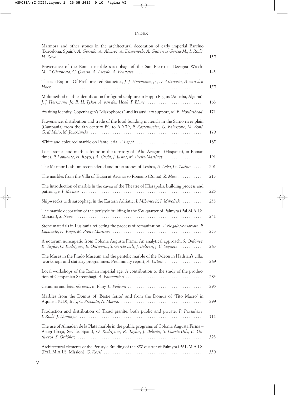| Marmora and other stones in the architectural decoration of early imperial Barcino<br>(Barcelona, Spain), A. Garrido, A. Álvarez, A. Doménech, A. Gutiérrez Garcia-M., I. Rodà,        | 135 |
|----------------------------------------------------------------------------------------------------------------------------------------------------------------------------------------|-----|
| Provenance of the Roman marble sarcophagi of the San Pietro in Bevagna Wreck,                                                                                                          | 143 |
| Thasian Exports Of Prefabricated Statuettes, J. J. Herrmann, Jr., D. Attanasio, A. van den                                                                                             | 155 |
| Multimethod marble identification for figural sculpture in Hippo Regius (Annaba, Algeria),<br>J. J. Herrmann, Jr., R. H. Tykot, A. van den Hoek, P. Blanc                              | 163 |
| Awaiting identity: Copenhagen's "diskophoros" and its auxiliary support, M. B. Hollinshead                                                                                             | 171 |
| Provenance, distribution and trade of the local building materials in the Sarno river plain<br>(Campania) from the 6th century BC to AD 79, P. Kastenmeier, G. Balassone, M. Boni,     | 179 |
| White and coloured marble on Pantelleria, T. Lappi                                                                                                                                     | 185 |
| Local stones and marbles found in the territory of "Alto Aragon" (Hispania), in Roman<br>times, P. Lapuente, H. Royo, J.A. Cuchi, J. Justes, M. Preite-Martinez                        | 191 |
| The Marmor Lesbium reconsidered and other stones of Lesbos, E. Leka, G. Zachos                                                                                                         | 201 |
| The marbles from the Villa of Trajan at Arcinazzo Romano (Roma), Z. Mari                                                                                                               | 213 |
| The introduction of marble in the cavea of the Theatre of Hierapolis: building process and                                                                                             | 225 |
| Shipwrecks with sarcophagi in the Eastern Adriatic, I. Mihajlović, I. Miholjek                                                                                                         | 233 |
| The marble decoration of the peristyle building in the SW quarter of Palmyra (Pal.M.A.I.S.                                                                                             | 241 |
| Stone materials in Lusitania reflecting the process of romanization, T. Nogales-Basarrate, P.                                                                                          | 253 |
| A uotorum nuncupatio from Colonia Augusta Firma. An analytical approach, S. Ordóñez,<br>R. Taylor, O. Rodríguez, E. Ontiveros, S. García-Dils, J. Beltrán, J. C. Saquete               | 263 |
| The Muses in the Prado Museum and the pentelic marble of the Odeon in Hadrian's villa:<br>workshops and statuary programmes. Preliminary report, A. Ottati                             | 269 |
| Local workshops of the Roman imperial age. A contribution to the study of the produc-                                                                                                  | 283 |
|                                                                                                                                                                                        | 295 |
| Marbles from the Domus of 'Bestie ferite' and from the Domus of 'Tito Macro' in                                                                                                        | 299 |
| Production and distribution of Troad granite, both public and private, P. Pensabene,                                                                                                   | 311 |
| The use of Almadén de la Plata marble in the public programs of Colonia Augusta Firma –<br>Astigi (Écija, Seville, Spain), O. Rodríguez, R. Taylor, J. Beltrán, S. García-Dils, E. On- | 323 |
| Architectural elements of the Peristyle Building of the SW quarter of Palmyra (PAL.M.A.I.S.                                                                                            | 339 |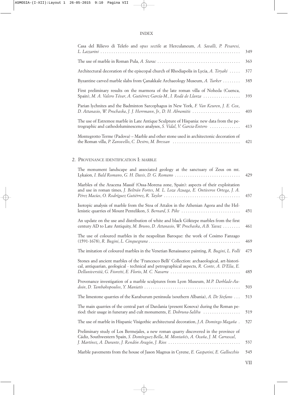| Casa del Rilievo di Telefo and opus sectile at Herculaneum, A. Savalli, P. Pesaresi,                                                                               | 349 |
|--------------------------------------------------------------------------------------------------------------------------------------------------------------------|-----|
|                                                                                                                                                                    | 363 |
| Architectural decoration of the episcopal church of Rhodiapolis in Lycia, A. Tiryaki                                                                               | 377 |
| Byzantine carved marble slabs from Canakkale Archaeology Museum, A. Turker                                                                                         | 385 |
| First preliminary results on the marmora of the late roman villa of Noheda (Cuenca,<br>Spain), M. A. Valero Tévar, A. Gutiérrez García-M., I. Rodà de Llanza       | 393 |
| Parian lychnites and the Badminton Sarcophagus in New York, F. Van Keuren, J. E. Cox,                                                                              | 403 |
| The use of Estremoz marble in Late Antique Sculpture of Hispania: new data from the pe-<br>trographic and cathodoluminescence analyses, S. Vidal, V. Garcia-Entero | 413 |
| Montegrotto Terme (Padova) – Marble and other stone used in architectonic decoration of<br>the Roman villa, P. Zanovello, C. Destro, M. Bressan                    | 421 |
|                                                                                                                                                                    |     |

#### 2. PROVENANCE IDENTIFICATION I: MARBLE

| The monument landscape and associated geology at the sanctuary of Zeus on mt.<br>Lykaion, I. Bald Romano, G. H. Davis, D. G. Romano                                                          | 429 |
|----------------------------------------------------------------------------------------------------------------------------------------------------------------------------------------------|-----|
| Marbles of the Aracena Massif (Ossa-Morena zone, Spain): aspects of their exploitation<br>and use in roman times, J. Beltrán Fortes, M. L. Loza Azuaga, E. Ontiveros Ortega, J. A.           | 437 |
| Isotopic analysis of marble from the Stoa of Attalos in the Athenian Agora and the Hel-<br>lenistic quarries of Mount Pentelikon, S. Bernard, S. Pike                                        | 451 |
| An update on the use and distribution of white and black Göktepe marbles from the first<br>century AD to Late Antiquity, M. Bruno, D. Attanasio, W. Prochaska, A.B. Yavuz                    | 461 |
| The use of coloured marbles in the neapolitan Baroque: the work of Cosimo Fanzago                                                                                                            | 469 |
| The imitation of coloured marbles in the Venetian Renaissance painting, R. Bugini, L. Folli                                                                                                  | 475 |
| Stones and ancient marbles of the 'Francesco Belli' Collection: archaeological, art-histori-<br>cal, antiquarian, geological - technical and petrographical aspects, R. Conte, A. D'Elia, E. | 485 |
| Provenance investigation of a marble sculptures from Lyon Museum, M.P. Darblade-Au-                                                                                                          | 503 |
| The limestone quarries of the Karaburum peninsula (southern Albania), A. De Stefano                                                                                                          | 513 |
| The main quarries of the central part of Dardania (present Kosova) during the Roman pe-<br>riod: their usage in funerary and cult monuments, E. Dobruna-Salihu                               | 519 |
| The use of marble in Hispanic Visigothic architectural decoration, J.A. Domingo Magaña.                                                                                                      | 527 |
| Preliminary study of Los Bermejales, a new roman quarry discovered in the province of<br>Cádiz, Southwestern Spain, S. Domínguez-Bella, M. Montañés, A. Ocaña, J. M. Carrascal,              | 537 |
| Marble pavements from the house of Jason Magnus in Cyrene, E. Gasparini, E. Gallocchio                                                                                                       | 545 |
|                                                                                                                                                                                              |     |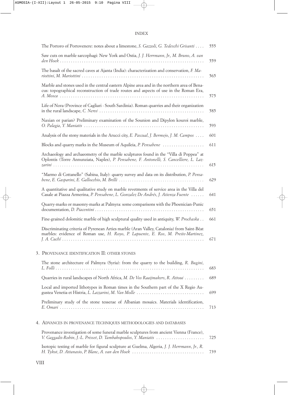| The Portoro of Portovenere: notes about a limestone, S. Gazzoli, G. Tedeschi Grisanti                                                                                                 |
|---------------------------------------------------------------------------------------------------------------------------------------------------------------------------------------|
| Saw cuts on marble sarcophagi: New York and Ostia, J. J. Herrmann, Jr., M. Bruno, A. van                                                                                              |
| The basalt of the sacred caves at Ajanta (India): characterization and conservation, F. Ma-                                                                                           |
| Marble and stones used in the central eastern Alpine area and in the northern area of Bena-<br>cus: topographical reconstruction of trade routes and aspects of use in the Roman Era, |
| Life of Nora (Province of Cagliari - South Sardinia). Roman quarries and their organization                                                                                           |
| Naxian or parian? Preliminary examination of the Sounion and Dipylon kouroi marble,                                                                                                   |
| Analysis of the stony materials in the Arucci city, E. Pascual, J. Bermejo, J. M. Campos                                                                                              |
| Blocks and quarry marks in the Museum of Aquileia, P. Pensabene                                                                                                                       |
| Archaeology and archaeometry of the marble sculptures found in the "Villa di Poppea" at<br>Oplontis (Torre Annunziata, Naples), P. Pensabene, F. Antonelli, S. Cancelliere, L. Laz-   |
| "Marmo di Cottanello" (Sabina, Italy): quarry survey and data on its distribution, P. Pensa-                                                                                          |
| A quantitative and qualitative study on marble revetments of service area in the Villa del<br>Casale at Piazza Armerina, P. Pensabene, L. Gonzalez De Andrés, J. Atienza Fuente       |
| Quarry-marks or masonry-marks at Palmyra: some comparisons with the Phoenician-Punic                                                                                                  |
| Fine-grained dolomitic marble of high sculptural quality used in antiquity, W. Prochaska                                                                                              |
| Discriminating criteria of Pyrenean Arties marble (Aran Valley, Catalonia) from Saint-Béat<br>marbles: evidence of Roman use, H. Royo, P. Lapuente, E. Ros, M. Preite-Martinez,       |
| 3. PROVENANCE IDENTIFICATION II: OTHER STONES                                                                                                                                         |
| The stone architecture of Palmyra (Syria): from the quarry to the building, R. Bugini,                                                                                                |
| Quarries in rural landscapes of North Africa, M. De Vos Raaijmakers, R. Attoui                                                                                                        |
| Local and imported lithotypes in Roman times in the Southern part of the X Regio Au-<br>gustea Venetia et Histria, L. Lazzarini, M. Van Molle                                         |
| Preliminary study of the stone tesserae of Albanian mosaics. Materials identification,                                                                                                |
| 4. ADVANCES IN PROVENANCE TECHNIQUES METHODOLOGIES AND DATABASES                                                                                                                      |
| Provenance investigation of some funeral marble sculptures from ancient Vienna (France),<br>V. Gaggadis-Robin, J.-L. Prisset, D. Tambakopoulos, Y. Maniatis                           |
| Isotopic testing of marble for figural sculpture at Guelma, Algeria, J. J. Herrmann, Jr., R.                                                                                          |

*H. Tykot*, *D. Attanasio*, *P. Blanc*, *A. van den Hoek* . . . . . . . . . . . . . . . . . . . . . . . . . . . . . . . . . 739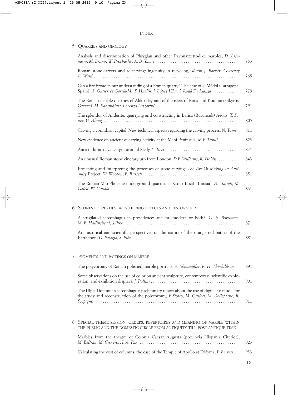|  | 5. QUARRIES AND GEOLOGY |  |  |
|--|-------------------------|--|--|
|--|-------------------------|--|--|

| Analysis and discrimination of Phrygian and other Pavonazzetto-like marbles, D. Atta-                                                                                    | 753 |
|--------------------------------------------------------------------------------------------------------------------------------------------------------------------------|-----|
| Roman stone-carvers and re-carving: ingenuity in recycling, <i>Simon J. Barker</i> , <i>Courtney</i>                                                                     | 765 |
| Can a fire broaden our understanding of a Roman quarry? The case of el Mèdol (Tarragona,<br>Spain), A. Gutiérrez Garcia-M., S. Huelin, J. López Vilar, I. Rodà De Llanza | 779 |
| The Roman marble quarries of Aliko Bay and of the islets of Rinia and Koulouri (Skyros,                                                                                  | 791 |
| The splendor of Andesite. quarrying and constructing in Larisa (Buruncuk) Aeolis, T. Sa-                                                                                 | 805 |
| Carving a corinthian capital. New technical aspects regarding the carving process, N. Toma.                                                                              | 811 |
| New evidence on ancient quarrying activity at the Mani Peninsula, M.P. Tsouli                                                                                            | 823 |
|                                                                                                                                                                          | 831 |
| An unusual Roman stone cinerary urn from London, D.F. Williams, R. Hobbs                                                                                                 | 843 |
| Presenting and interpreting the processes of stone carving: The Art Of Making In Anti-                                                                                   | 851 |
| The Roman Mio-Pliocene underground quarries at Ksour Essaf (Tunisia), A. Younès, M.                                                                                      | 861 |
|                                                                                                                                                                          |     |

#### 6. STONES PROPERTIES, WEATHERING EFFECTS AND RESTORATION

| A strigilated sarcophagus in providence: ancient, modern or both?, G. E. Borromeo,       |  |
|------------------------------------------------------------------------------------------|--|
| Art historical and scientific perspectives on the nature of the orange-red patina of the |  |

#### 7. PIGMENTS AND PAITINGS ON MARBLE

| The polychromy of Roman polished marble portraits, A. Skovmøller, R. H. Therkildsen 891                                                                                               |     |
|---------------------------------------------------------------------------------------------------------------------------------------------------------------------------------------|-----|
| Some observations on the use of color on ancient sculpture, contemporary scientific explo-                                                                                            | 901 |
| The Ulpia Domnina's sarcophagus: preliminary report about the use of digital 3d model for<br>the study and reconstruction of the polychromy, E.Siotto, M. Callieri, M. Dellepiane, R. |     |

| 8. SPECIAL THEME SESSION: ORDERS, REPERTOIRES AND MEANING OF MARBLE WITHIN                  |     |
|---------------------------------------------------------------------------------------------|-----|
| THE PUBLIC AND THE DOMESTIC CIRCLE FROM ANTIQUITY TILL POST-ANTIQUE TIME                    |     |
| Marbles from the theatre of Colonia Caesar Augusta (provincia Hispania Citerior),           | 923 |
| Calculating the cost of columns: the case of the Temple of Apollo at Didyma, P. Barresi 933 |     |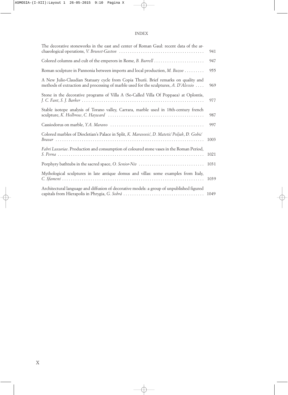| The decorative stoneworks in the east and center of Roman Gaul: recent data of the ar-                                                                                      | 941  |
|-----------------------------------------------------------------------------------------------------------------------------------------------------------------------------|------|
| Colored columns and cult of the emperors in Rome, <i>B. Burrell</i>                                                                                                         | 947  |
| Roman sculpture in Pannonia between imports and local production, M. Buzov                                                                                                  | 955  |
| A New Julio-Claudian Statuary cycle from Copia Thurii. Brief remarks on quality and<br>methods of extraction and processing of marble used for the sculptures, A. D'Alessio | 969  |
| Stone in the decorative programs of Villa A (So-Called Villa Of Poppaea) at Oplontis,                                                                                       | 977  |
| Stable isotope analysis of Torano valley, Carrara, marble used in 18th-century french                                                                                       | 987  |
|                                                                                                                                                                             | 997  |
| Colored marbles of Diocletian's Palace in Split, K. Marasović, D. Matetić Poljak, Đ. Gobić                                                                                  | 1003 |
| Fabri Luxuriae. Production and consumption of coloured stone vases in the Roman Period,                                                                                     | 1021 |
|                                                                                                                                                                             | 1031 |
| Mythological sculptures in late antique domus and villas: some examples from Italy,                                                                                         | 1039 |
| Architectural language and diffusion of decorative models: a group of unpublished figured<br>capitals from Hierapolis in Phrygia, G. Sobrà                                  | 1049 |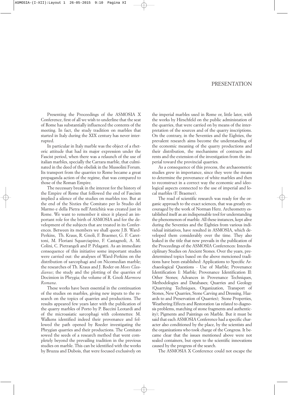#### PRESENTATION

Presenting the Proceedings of the ASMOSIA X Conference, first of all we wish to underline that the seat of Rome has substantially influenced the contents of the meeting. In fact, the study tradition on marbles that started in Italy during the XIX century has never interrupted.

In particular in Italy marble was the object of a rhetoric attitude that had its major expression under the Fascist period, when there was a relaunch of the use of italian marbles, specially the Carrara marble, that culminated in the deed of the obelisk in the Mussolini Forum. Its transport from the quarries to Rome became a great propaganda action of the regime, that was compared to those of the Roman Empire.

The necessary break in the interest for the history of the Empire of Rome that followed the end of Fascism implied a silence of the studies on marbles too. But at the end of the Sixties the Comitato per lo Studio del Marmo e della Pietra nell'Antichità was created just in Rome. We want to remember it since it played an important role for the birth of ASMOSIA and for the development of the subjects that are treated in its Conferences. Between its members we shall quote J.B. Ward-Perkins, Th. Kraus, R. Gnoli, F. Braemer, G. F. Carettoni, M. Floriani Squarciapino, F. Castagnoli, A. M. Colini, C. Pietrangeli and P. Pelagatti. As an immediate consequence of this initiative some important studies were carried out: the analyses of Ward-Perkins on the distribution of sarcophagi and on Nicomedian marble; the researches of Th. Kraus and J. Roder on *Mons Claudianus*; the study and the plotting of the quarries of Docimion in Phrygia; the volume of R. Gnoli *Marmora Romana*.

These works have been essential in the continuation of the studies on marbles, giving new inputs to the research on the topics of quarries and productions. The results appeared few years later with the publication of the quarry marbles of Porto by P. Baccini Leotardi and of the microasiatic sarcophagi with colonnettes: M. Walkens identified indeed their provenance and followed the path opened by Roeder investigating the Phrygian quarries and their productions. The Comitato sowed the seeds of a research method that went completely beyond the prevailing tradition in the previous studies on marble. This can be identified with the works by Bruzza and Dubois, that were focused exclusively on

the imperial marbles used in Rome or, little later, with the works by Hirschfeld on the public administation of the quarries, that were carried on by means of the interpretation of the sources and of the quarry inscriptions. On the contrary, in the Seventies and the Eighties, the prevalent research aims become the understanding of the economic meaning of the quarry productions and their distribution, the mechanisms of contracts and rents and the extension of the investigation from the imperial toward the provincial quarries.

As a consequence of this process, the archaeometric studies grew in importance, since they were the means to determine the provenance of white marbles and then to reconstruct in a correct way the economic and ideological aspects connected to the use of imperial and local marbles (F. Braemer).

The road of scientific research was ready for the organic approach to the exact sciences, that was greatly encouraged by the work of Norman Herz. Archeometry established itself as an indispensable tool for understanding the phenomenon of marble. All these instances, kept alive during the Seventies and the Eighties from various individual initiatives, have resulted in ASMOSIA, which developed them considerably over the time. They also leaked in the title that now prevails in the publication of the Proceedings of the ASMOSIA Conferences: Interdisciplinary Studies on Ancient Stones. Over the years, predetermined topics based on the above mencioned traditions have been established: Applications to Specific Archaeological Questions - Use of Marble; Provenance Identification I: Marble; Provenance Identification II: Other Stones; Advances in Provenance Techniques, Methodologies and Databases; Quarries and Geology (Quarrying Techniques, Organization, Transport of Stones, New Quarries, Stone Carving and Dressing, Hazards to and Preservation of Quarries); Stone Properties, Weathering Effects and Restoration (as related to diagnosis problems, matching of stone fragments and authenticity); Pigments and Paintings on Marble. But it must be said that each ASMOSIA Conference had a specific character also conditioned by the place, by the scientists and the organizations who took charge of the Congress. It became clear that the issues mentioned above were not sealed containers, but open to the scientific innovations caused by the progress of the search.

The ASMOSIA X Conference could not escape the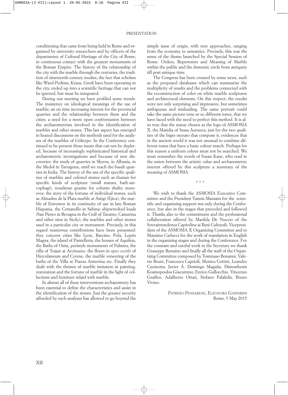conditioning that came from being held in Rome and organized by university researchers and by officers of the departments of Cultural Heritage of the City of Rome, in continuous contact with the greatest monuments of the Roman Empire. The history of the relationship of the city with the marble through the centuries, the tradition of nineteenth-century studies, the fact that scholars like Ward-Perkins, Kraus, Gnoli have been operating in the city, ended up into a scientific heritage that can not be ignored, but must be integrated.

During our meeting we have profiled some trends. The insistence on ideological meanings of the use of marble; an on time increasing interest for the provincial quarries and the relationship between them and the cities; a need for a more open confrontation between the archaeometrists involved in the identification of marbles and other stones. This last aspect has emerged in heated discussions on the methods used for the analyses of the marbles of Göktepe. In the Conference continued to be present those issues that can not be depleted, because of increasingly sophisticated historical and archaeometric investigations and because of new discoveries: the study of quarries in Skyros, in Albania, in the Medol in Tarragona, until we reach the basalt quarries in India. The history of the use of the specific qualities of marbles and colored stones such as thasian for specific kinds of sculpture (small statues, bath-sarcophagi), troadense granite for column shafts; moreover, the story of the fortune of individual stones, such as Almaden de la Plata marble at Astigi (Ejica), the marble of Estremoz in its continuity of use in late Roman Hispania, the Cottanello in Sabina; shipwrecked loads (San Pietro in Bevagna in the Gulf of Taranto, Camarina and other sites in Sicily); the marbles and other stones used in a particular city or monument. Precisely, in this regard numerous contributions have been presented: they concern cities like Lyon, Barcino, Pola, Leptis Magna, the island of Pantelleria, the houses of Aquileia, the Baths of Ostia, peristyle monuments of Palmira, the villa of Trajan at Arcinazzo, the floors in *opus sectile* of Herculaneum and Cyrene, the marble veneering of the baths of the Villa at Piazza Armerina etc. Finally they dealt with the themes of marble imitation in painting, restoration and the fortune of marble in the light of collections and furniture inlaid with marble.

In almost all of these interventions archaeometry has been essential to define the characteristics and assist in the identification of the stones. Just the greater security afforded by such analyses has allowed to go beyond the simple issue of origin, with new approaches, ranging from the economy to semantics. Precisely, this was the sense of the theme launched by the Special Session of Rome: Orders, Repertoires and Meaning of Marble within the public and the domestic circle from antiquity till post-antique time.

The Congress has been crossed by some news, such as the proposed databases which can summarize the multiplicity of results and the problems connected with the reconstruction of color on white marble sculptures and architectural elements. On this respect, the results were not only surprising and impressive, but sometimes ambiguous and misleading. The same portrait could take the same picture tone or so different tones, that we have faced with the need to perfect this method. It is also true that the statue chosen as the logo of ASMOSIA X, the Matidia of Sessa Aurunca, just for the two qualities of the bigio morato that compose it, evidences that in the ancient world it was not unusual to combine different tones that have a basic colour match. Perhaps for this reason a uniform colour must not be searched. We must remember the words of Susan Kane, who read in the union between the artistic value and archaeometric interest offered by this sculpture a summary of the meaning of ASMOSIA.

\* \* \*

We wish to thank the ASMOSIA Executive Committee and the President Yannis Maniatis for the scientific and organizing support not only during the Conference, but also in the stages that preceded and followed it. Thanks also to the commitment and the professional collaboration offered by Marilda De Nuccio of the Sovraintendenza Capitolina ai Beni Culturali, Vicepresident of the ASMOSIA X Organizing Committee and to Massimo Carlucci for the work of translation in English in the organizing stages and during the Conference. For the constant and careful work in the Secretary we thank Giuseppe Restaino and finally all the staff of the Organizing Committee composed by Tommaso Bonanni, Valerio Bruni, Francesca Caprioli, Monica Cottini, Leandro Cucinotta, Javier Á. Domingo Magaña, Dimosthenis Kosmopoulos Giacummo, Enrico Gallocchio, Vincenzo Graffeo, Adalberto Ottati, Stefano Palalidis, Bruno Vivino.

> PATRIZIO PENSABENE, ELEONORA GASPARINI Rome, 5 May 2015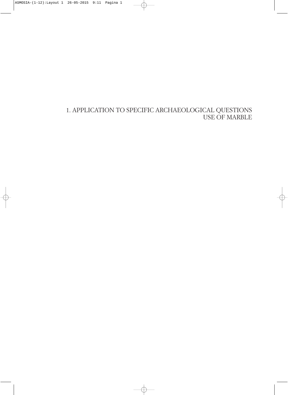1. APPLICATION TO SPECIFIC ARCHAEOLOGICAL QUESTIONS USE OF MARBLE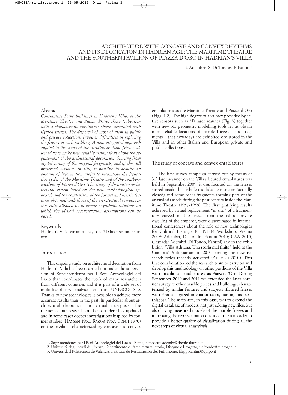#### ARCHITECTURE WITH CONCAVE AND CONVEX RHYTHMS AND ITS DECORATION IN HADRIAN AGE: THE MARITIME THEATRE AND THE SOUTHERN PAVILION OF PIAZZA D'ORO IN HADRIAN'S VILLA

B. Adembri<sup>1</sup>, S. Di Tondo<sup>2</sup>, F. Fantini<sup>3</sup>

#### Abstract

*Constantine Some buildings in Hadrian's Villa, as the Maritime Theatre and Piazza d'Oro, show trabeation with a characteristic curvilinear shape, decorated with figured friezes. The dispersal of most of them in public and private collections involves difficulties in replacing the friezes in each building. A new integrated approach applied to the study of the curvilinear shape friezes, allowed us to make new reliable assumptions about the replacement of the architectural decoration. Starting from digital survey of the original fragments, and of the still preserved masonry in situ, is possible to acquire an amount of information useful to recompose the figurative cycles of the Maritime Theatre and of the southern pavilion of Piazza d'Oro. The study of decorative architectural system based on the new methodological approach and the comparison of the formal and metric features obtained with those of the architectural remains in the Villa, allowed us to propose synthetic solutions on which the virtual reconstruction assumptions can be based.*

#### Keywords

Hadrian's Villa, virtual anastylosis, 3D laser scanner survey

#### Introduction

This ongoing study on architectural decoration from Hadrian's Villa has been carried out under the supervision of Soprintendenza per i Beni Archeologici del Lazio that coordinates the work of many researchers from different countries and it is part of a wide set of multidisciplinary analyses on this UNESCO Site. Thanks to new technologies is possible to achieve more accurate results than in the past, in particular about architectural decoration and virtual anastylosis. The themes of our research can be considered as updated and in some cases deeper investigations inspired by former studies (HANSEN 1960; RAKOB 1967; CONTI 1970) on the pavilions characterized by concave and convex

entablatures as the Maritime Theatre and Piazza d'Oro (Figg. 1-2). The high degree of accuracy provided by active sensors such as 3D laser scanner (Fig. 3) together with new 3D geometric modelling tools let us obtain more reliable locations of marble friezes – and fragments – that nowadays are exhibited ore stored in the Villa and in other Italian and European private and public collections.

#### The study of concave and convex entablatures

The first survey campaign carried out by means of 3D laser scanner on the Villa's figured entablatures was held in September 2009; it was focused on the friezes stored inside the Triboletti's didactic museum (actually closed) and some other fragments forming part of the anastylosis made during the past century inside the Maritime Theatre (1957-1958). The first gratifying results achieved by virtual replacement "in situ" of a fragmentary curved marble frieze from the island private dwelling of the emperor, were disseminated in international conferences about the role of new technologies for Cultural Heritage (CHNT-14 Workshop, Vienna 2009: Adembri, Di Tondo, Fantini 2010; CAA 2010, Granada: Adembri, Di Tondo, Fantini) and in the exhibition "Villa Adriana. Una storia mai finita" held at the Canopus' Antiquarium in 2010, among the new research fields recently activated (ADEMBRI 2010). This first collaboration led the research team to carry on and develop this methodology on other pavilions of the Villa with mixtilinear entablatures, as Piazza d'Oro. During September 2010 and 2011 we extended the laser scanner survey to other marble pieces and buildings, characterized by similar features and subjects (figured friezes with Erotes engaged in chariot races, hunting and seathiasos). The main aim, in this case, was to extend the digital database of models, not just adding new files, but also having measured models of the marble friezes and improving the representation quality of them in order to provide a better quality of visualization during all the next steps of virtual anastylosis.

<sup>1.</sup> Soprintendenza per i Beni Archeologici del Lazio - Roma, benedetta.adembri@beniculturali.it

<sup>2.</sup> Università degli Studi di Firenze, Dipartimento di Architettura, Storia, Disegno e Progetto, s.ditondo@microgeo.it

<sup>3.</sup> Universidad Politécnica de Valencia, Instituto de Restauración del Patrimonio, filippofantini@quipo.it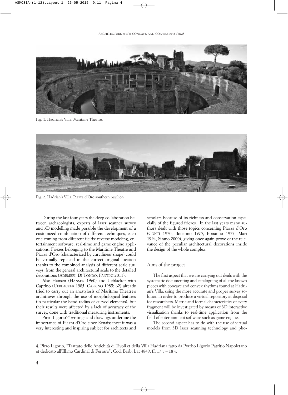

Fig. 1. Hadrian's Villa. Maritime Theatre.



Fig. 2. Hadrian's Villa. Piazza d'Oro southern pavilion.

During the last four years the deep collaboration between archaeologists, experts of laser scanner survey and 3D modelling made possible the development of a customized combination of different techniques, each one coming from different fields: reverse modeling, entertainment software, real-time and game engine applications. Friezes belonging to the Maritime Theatre and Piazza d'Oro (characterized by curvilinear shape) could be virtually replaced in the correct original location thanks to the combined analysis of different scale surveys: from the general architectural scale to the detailed decorations (ADEMBRI, DI TONDO, FANTINI 2011).

Also Hansen (HANSEN 1960) and Ueblacker with Caprino (UEBLACKER 1985, CAPRINO 1985: 62) already tried to carry out an anastylosis of Maritime Theatre's architraves through the use of morphological features (in particular the bend radius of curved elements), but their results were affected by a lack of accuracy of the survey, done with traditional measuring instruments.

Pirro Ligorio's<sup>4</sup> writings and drawings underline the importance of Piazza d'Oro since Renaissance: it was a very interesting and inspiring subject for architects and scholars because of its richness and conservation especially of the figured friezes. In the last years many authors dealt with those topics concerning Piazza d'Oro (CONTI 1970, Bonanno 1975, Bonanno 1977, Mari 1994, Sirano 2000), giving once again prove of the relevance of the peculiar architectural decorations inside the design of the whole complex.

#### Aims of the project

The first aspect that we are carrying out deals with the systematic documenting and cataloguing of all the known pieces with concave and convex rhythms found at Hadrian's Villa, using the more accurate and proper survey solution in order to produce a virtual repository at disposal for researchers. Metric and formal characteristics of every fragment will be investigated by means of 3D interactive visualization thanks to real-time application from the field of entertainment software such as game engine.

The second aspect has to do with the use of virtual models from 3D laser scanning technology and pho-

<sup>4.</sup> Pirro Ligorio, "Trattato delle Antichità di Tivoli et della Villa Hadriana fatto da Pyrrho Ligorio Patritio Napoletano et dedicato all'Ill.mo Cardinal di Ferrara", Cod. Barb. Lat 4849, ff. 17 v – 18 v.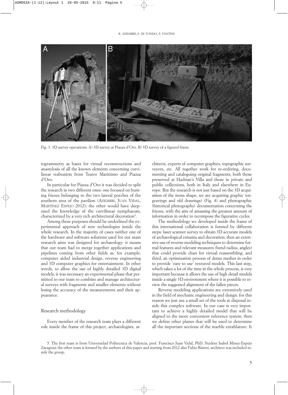

Fig. 3. 3D survey operations: A) 3D survey at Piazza d'Oro. B) 3D survey of a figured frieze.

togrammetry as bases for virtual reconstructions and anastylosis of all the known elements concerning curvilinear trabeation from Teatro Marittimo and Piazza d'Oro.

In particular for Piazza d'Oro it was decided to split the research in two different ones: one focused on hunting friezes belonging to the two lateral porches of the southern area of the pavilion (ADEMBRI, JUAN VIDAL, MARTÌNEZ ESPEJO 2012); the other would have deepened the knowledge of the curvilinear nymphaeum, characterized by a very rich architectural decoration<sup>5</sup>.

Among these purposes should be underlined the experimental approach of new technologies inside the whole research. In the majority of cases neither one of the hardware and software solutions used for our main research aims was designed for archaeology: it means that our team had to merge together applications and pipelines coming from other fields as, for example, computer aided industrial design, reverse engineering and 3D computer graphics for entertainment. In other words, to allow the use of highly detailed 3D digital models, it was necessary an experimental phase that permitted to our team to combine and manage architectural surveys with fragments and smaller elements without losing the accuracy of the measurements and their appearance.

#### Research methodology

Every member of the research team plays a different role inside the frame of this project, archaeologists, ar-

chitects, experts of computer graphics, topographic surveyors, etc. All together work for re-ordering, documenting and cataloguing original fragments, both those preserved at Hadrian's Villa and those in private and public collections, both in Italy and elsewhere in Europe. But the research is not just based on the 3D acquisition of the items shape; we are acquiring graphic (engravings and old drawings) (Fig. 4) and photographic (historical photography) documentation concerning the friezes, with the aim of amassing the greatest amount of information in order to recompose the figurative cycles.

The methodology we developed inside the frame of this international collaboration is formed by different steps: laser scanner survey to obtain 3D accurate models of archaeological remains and decoration; then an extensive use of reverse modeling techniques to determine formal features and relevant measures (bend radius, angles) that could provide clues for virtual reassembling; and third, an optimization process of dense meshes in order to provide 'easy to use' textured models. This last step, which takes a lot of the time in the whole process, is very important because it allows the use of high detail models inside a single 3D environment where it is possible to review the suggested alignment of the fallen pieces.

Reverse modeling applications are extensively used in the field of mechanic engineering and design: for this reason we just use a small set of the tools at disposal inside this complex software. In our case is very important to achieve a highly detailed model that will be aligned to the more convenient reference system, then we define other planes that will be used to determine all the important sections of the marble entablature. It

5. The first team is from Universidad Politecnica de Valencia, prof. Francisco Juan Vidal, PhD. Student Isabel Mtnez-Espejo Zaragoza; the other team is formed by the authors of this paper and starting from 2012 also Fabio Ristori, architect was included inside the group.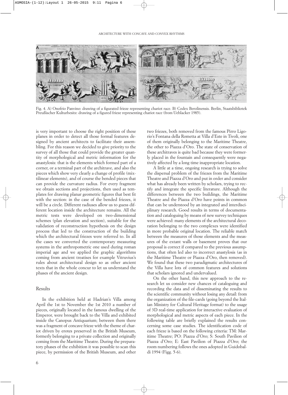

Fig. 4. A) Onofrio Panvino: drawing of a figurated frieze representing chariot race. B) Codex Berolinensis. Berlin, Staatsbibliotek Preußischer Kulturbesitz: drawing of a figured frieze representing chariot race (from Ueblacker 1985).

is very important to choose the right position of these planes in order to detect all those formal features designed by ancient architects to facilitate their assembling. For this reason we decided to give priority to the survey of all those that could provide the greater quantity of morphological and metric information for the anastylosis: that is the elements which formed part of a corner, or a terminal part of the architrave, and also the pieces which show very clearly a change of profile (mixtilinear elements), and of course the bended pieces that can provide the curvature radius. For every fragment we obtain sections and projections, then used as templates for drawing planar geometric figures that best fit with the section: in the case of the bended friezes, it will be a circle. Different radiuses allow us to guess different location inside the architecture remains. All the metric tests were developed on two-dimensional schemes (plan elevation and section), suitable for the validation of reconstruction hypothesis on the design process that led to the construction of the building which the architectural friezes were referred to. In all the cases we converted the contemporary measuring systems in the anthropometric one used during roman imperial age and we applied the graphic algorithms coming from ancient treatises for example Vitruvius's rules about architectural design so as other ancient texts that in the whole concur to let us understand the phases of the ancient design.

#### Results

In the exhibition held at Hadrian's Villa among April the 1st to November the 1st 2010 a number of pieces, originally located in the famous dwelling of the Emperor, were brought back to the Villa and exhibited inside the Canopus Antiquarium; between them there was a fragment of concave frieze with the theme of chariot driven by erotes preserved in the British Museum, formerly belonging to a private collection and originally coming from the Maritime Theatre. During the preparatory phases of the exhibition it was possible to scan this piece, by permission of the British Museum, and other two friezes, both removed from the famous Pirro Ligorio's Fontana della Rometta at Villa d'Este in Tivoli, one of them originally belonging to the Maritime Theatre, the other to Piazza d'Oro. The state of conservation of these architraves is quite bad because they were formerly placed in the fountain and consequently were negatively affected by a long time inappropriate location.

A little at a time, ongoing research is trying to solve the dispersal problem of the friezes from the Maritime Theatre and Piazza d'Oro and put in order and consider what has already been written by scholars, trying to rectify and integrate the specific literature. Although the differences between the two buildings, the Maritime Theatre and the Piazza d'Oro have points in common that can be understood by an integrated and interdisciplinary research. Good results in terms of documentation and cataloguing by means of new survey techniques were achieved: many elements of the architectural decoration belonging to the two complexes were identified in more probable original location. The reliable match between the measures of those elements and the measures of the extant walls or basement proves that our proposal is correct if compared to the previous assumptions, that often led also to incorrect anastylosis (as in the Maritime Theatre or Piazza d'Oro, then removed). We found that these two paradigmatic architectures of the Villa have lots of common features and solutions that scholars ignored and undervalued.

On the other hand, this new approach to the research let us consider new chances of cataloguing and recording the data and of disseminating the results to the scientific community without losing any detail: from the organization of the file-cards (going beyond the Italian Ministry for Cultural Heritage format) to the usage of 3D real-time application for interactive evaluation of morphological and metric aspects of each piece. In the following table are briefly explained the results concerning some case studies. The identification code of each frieze is based on the following criteria: TM: Maritime Theatre; PO: Piazza d'Oro; S: South Pavilion of Piazza d'Oro; E: East Pavilion of Piazza d'Oro; the room numbering follows the ones adopted in Guidobaldi 1994 (Figg. 5-6).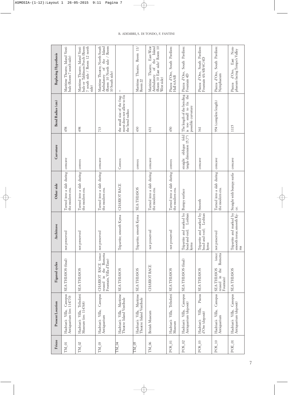| Frieze       | <b>Present Location</b>                                     | Figured cycles                                                                         | Architrave                                                        | Other side                                   | Curvature                                              | Bend Radius (cm)                                                             | Replacing Hypothesis                                                                                            |
|--------------|-------------------------------------------------------------|----------------------------------------------------------------------------------------|-------------------------------------------------------------------|----------------------------------------------|--------------------------------------------------------|------------------------------------------------------------------------------|-----------------------------------------------------------------------------------------------------------------|
| $\rm TM\_01$ | Canopus<br>Antiquarium (inv. 114770)<br>Villa,<br>Hadrian's | SEA-THIASOS (final)                                                                    | reserved<br>not pr                                                | Turned into a slab during<br>the modern era. | concave                                                | 458                                                                          | Maritime Theatre, Island Vesti-<br>bule (Room 7 south side)                                                     |
| $TM_02$      | Triboletti<br>Museum (inv. 114768)<br>Hadrian's Villa,      | <b>SEA-THIASOS</b>                                                                     | reserved<br>not pr                                                | Turned into a slab during<br>the modern era. | convex                                                 | 498                                                                          | bule or Tablinum Porch (Room<br>7 south side / Room 12 north<br>Maritime Theatre, Island Vesti-<br>side)        |
| TM_03        | Canopus<br>Villa,<br>Antiquarium<br>Hadrian's               | (once<br>the Rometta<br>Fountain, Villa d'Este)<br><b>RACE</b><br>reused in<br>CHARIOT | not preserved                                                     | Turned into a slab during<br>the modern era. | concave                                                | 713                                                                          | (Room 10 North side / Room<br>Island<br>Maritime Theatre, North-South<br>the<br>Ambulatory of<br>10 South side) |
| <b>TM_04</b> | Hadrian's Villa, Maritime<br>Theatre: Island Vestibule      | <b>SEA-THIASOS</b>                                                                     | Tripartite; smooth Kyma                                           | CHARIOT RACE                                 | Convex                                                 | the small size of the frag-<br>ment does not allow to fix<br>the bend radius | I                                                                                                               |
| TM 05        | Hadrian's Villa, Maritime<br>Theatre: Island Vestibule      | <b>SEA-THIASOS</b>                                                                     | Tripartite; smooth Kyma                                           | <b>SEA-THIASOS</b>                           | convex                                                 | 430                                                                          | Room $11/$<br>Theatre,<br>Maritime<br>Room <sub>22</sub>                                                        |
| TM_06        | <b>British Museum</b>                                       | <b>CHARIOT RACE</b>                                                                    | not preserved                                                     | Turned into a slab during<br>the modern era. | concave                                                | 631                                                                          | (Room 10 East side/Room 10<br>Theatre, East-West<br>the Island<br>Ambulatory of<br>Maritime<br>West side)       |
| POS_01       | Villa, Triboletti<br>Hadrian's<br>Museum                    | SEA-THIASOS                                                                            | not preserved                                                     | Turned into a slab during<br>the modern era. | convex                                                 | 450                                                                          | Piazza d'Oro, South Pavilion:<br>Hall 6A/6B                                                                     |
| POS_02       | 1 12018 Villa, Canopus<br>Antiquarium (deposit)             | SEA-THIASOS (final)                                                                    | Tripartite and marked by<br>Lesbian<br>and-reel;<br>bead-<br>kyma | Bumpy surface                                | fold<br>(angle dimension 15,7°)<br>oblique<br>straight | The length of the bending<br>is too small to fix the<br>possible curvature   | South Pavilion:<br>Piazza d'Oro,<br>Fountain 4D                                                                 |
| $POS_03$     | Piazza<br>Villa,<br>d'Oro (deposit)<br>Hadrian's            | <b>SEA-THIASOS</b>                                                                     | Tripartite and marked by<br>bead-and-reel; Lesbian<br>kyma        | Smooth                                       | concave                                                | 361                                                                          | Piazza d'Oro, South Pavilion:<br>Fountain 4A/4B/4C/4D                                                           |
| $POS_10$     | Canopus<br>Hadrian's Villa,<br>Antiquarium                  | (once<br>Rometta<br>the<br><b>SEA-THIASOS</b><br>reused in<br>Fountain)                | eserved<br>not pr                                                 | Turned into a slab during<br>the modern era. | concave                                                | 954 (complete length)                                                        | Piazza d'Oro, South Pavilion:<br>Nymphaeum                                                                      |
| POE_01       | Canopus<br>Antiquarium (deposit)<br>Hadrian's Villa,        | <b>SEA-THIASOS</b>                                                                     | Tripartite and marked by<br>smooth torus; smooth Ky-<br>ma        | Straight with bumpy surfa-<br>ce.            | concave                                                | 1115                                                                         | Nym-<br>phaeum facing Tempe's Valley<br>East<br>d'Oro,<br>Piazza                                                |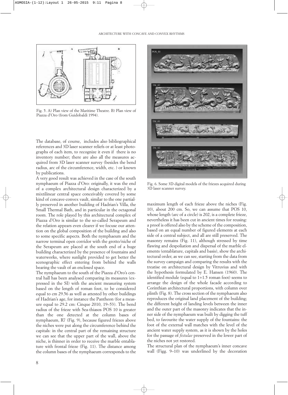

Fig. 5. A) Plan view of the Maritime Theatre. B) Plan view of Piazza d'Oro (from Guidobaldi 1994).

The database, of course, includes also bibliographical references and 3D laser scanner reliefs or at least photographs of each item, to recognize it even if there is no inventory number; there are also all the measures acquired from 3D laser scanner survey (besides the bend radius, arc of the circumference, width, etc. ) or known by publications.

A very good result was achieved in the case of the south nymphaeum of Piazza d'Oro: originally, it was the end of a complex architectural design characterized by a mixtilinear central space conceivably covered by some kind of concave-convex vault, similar to the one partially preserved in another building of Hadrian's Villa, the Small Thermal Bath, and in particular in the octagonal room. The role played by this architectural complex of Piazza d'Oro is similar to the so-called Serapeum and the relation appears even clearer if we focuse our attention on the global composition of the building and also to some specific aspects. Both the nymphaeum and the narrow terminal open corridor with the grotto/niche of the Serapeum are placed at the south end of a huge building characterized by the presence of fountains and waterworks, where sunlight provided to get better the scenographic effect entering from behind the walls bearing the vault of an enclosed space.

The nymphaeum to the south of the Piazza d'Oro's central hall has been analysed comparing its measures (expressed in the SI) with the ancient measuring system based on the length of roman foot, to be considered equal to cm 29.56 as well as attested by other buildings of Hadrian's age, for instance the Pantheon (for a measure equal to 29.2 cm: Cinque 2010, 19–53). The bend radius of the frieze with Sea-thiasos POS 10 is greater than the one detected at the column bases of nymphaeum, R7 (Fig. 9), because figured friezes above the niches were put along the circumference behind the capitals: in the central part of the remaining structure we can see that the upper part of the wall, above the niche, is thinner in order to receive the marble entablature with frontal frieze (Fig. 11). The distance among the column bases of the nymphaeum corresponds to the



Fig. 6. Some 3D digital models of the friezes acquired during 3D laser scanner survey.

maximum length of each frieze above the niches (Fig. 10), about 200 cm. So, we can assume that POS 10, whose length (arc of a circle) is 202, is a complete frieze, nevertheless it has been cut in ancient times for reusing: a proof is offered also by the scheme of the composition, based on an equal number of figured elements at each side of a central subject, and all are still preserved. The masonry remains (Fig. 11), although stressed by time flawing and despoliation and dispersal of the marble elements (entablature, capitals and basis), show the architectural order, as we can see, starting from the data from the survey campaign and comparing the results with the treatise on architectural design by Vitruvius and with the hypothesis formulated by E. Hansen (1960). The identified module (equal to 1+1.5 roman foot) seems to arrange the design of the whole facade according to Corinthian architectural proportions, with column over plinth (Fig. 8). The cross section of the nymphaeum also reproduces the original land placement of the building; the different height of landing levels between the inner and the outer part of the masonry indicates that the inner side of the nymphaeum was built by digging the tuff bed, to favourite the water supply of the fountains: the foot of the external wall matches with the level of the ancient water supply system, as it is shown by the holes for the passage of *fistulae* preserved in the lower part of the niches not yet restored.

The structural plan of the nymphaeum's inner concave wall (Figg. 9–10) was underlined by the decoration